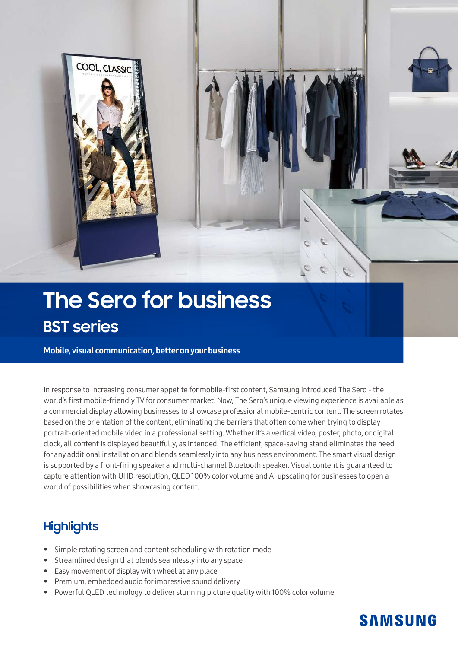

# **The Sero for business BST series**

Mobile, visual communication, better on your business

In response to increasing consumer appetite for mobile-first content, Samsung introduced The Sero - the world's first mobile-friendly TV for consumer market. Now, The Sero's unique viewing experience is available as a commercial display allowing businesses to showcase professional mobile-centric content. The screen rotates based on the orientation of the content, eliminating the barriers that often come when trying to display portrait-oriented mobile video in a professional setting. Whether it's a vertical video, poster, photo, or digital clock, all content is displayed beautifully, as intended. The efficient, space-saving stand eliminates the need for any additional installation and blends seamlessly into any business environment. The smart visual design is supported by a front-firing speaker and multi-channel Bluetooth speaker. Visual content is guaranteed to capture attention with UHD resolution, QLED 100% color volume and AI upscaling for businesses to open a world of possibilities when showcasing content.

### **Highlights**

- Simple rotating screen and content scheduling with rotation mode
- Streamlined design that blends seamlessly into any space
- Easy movement of display with wheel at any place
- Premium, embedded audio for impressive sound delivery
- Powerful QLED technology to deliver stunning picture quality with 100% color volume

## **SAMSUNG**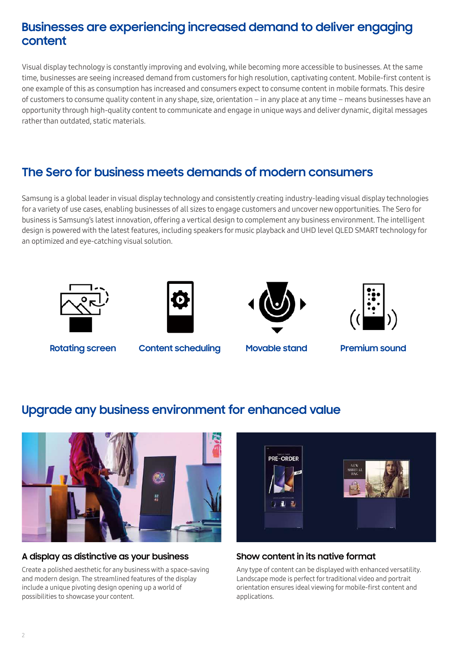### **Businesses are experiencing increased demand to deliver engaging content**

Visual display technology is constantly improving and evolving, while becoming more accessible to businesses. At the same time, businesses are seeing increased demand from customers for high resolution, captivating content. Mobile-first content is one example of this as consumption has increased and consumers expect to consume content in mobile formats. This desire of customers to consume quality content in any shape, size, orientation – in any place at any time – means businesses have an opportunity through high-quality content to communicate and engage in unique ways and deliver dynamic, digital messages rather than outdated, static materials.

### **The Sero for business meets demands of modern consumers**

Samsung is a global leader in visual display technology and consistently creating industry-leading visual display technologies for a variety of use cases, enabling businesses of all sizes to engage customers and uncover new opportunities. The Sero for business is Samsung's latest innovation, offering a vertical design to complement any business environment. The intelligent design is powered with the latest features, including speakers for music playback and UHD level QLED SMART technology for an optimized and eye-catching visual solution.









**Rotating screen Content scheduling Movable stand Premium sound**

### **Upgrade any business environment for enhanced value**



#### **A display as distinctive as your business**

Create a polished aesthetic for any business with a space-saving and modern design. The streamlined features of the display include a unique pivoting design opening up a world of possibilities to showcase your content.



#### **Show content in its native format**

Any type of content can be displayed with enhanced versatility. Landscape mode is perfect for traditional video and portrait orientation ensures ideal viewing for mobile-first content and applications.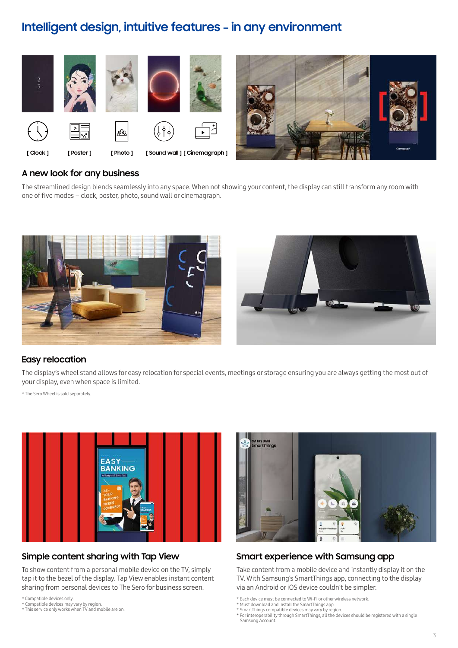### **Intelligent design, intuitive features – in any environment**



#### **A new look for any business**

The streamlined design blends seamlessly into any space. When not showing your content, the display can still transform any room with one of five modes – clock, poster, photo, sound wall or cinemagraph.





#### **Easy relocation**

The display's wheel stand allows for easy relocation for special events, meetings or storage ensuring you are always getting the most out of your display, even when space is limited.

\* The Sero Wheel is sold separately.



#### **Simple content sharing with Tap View**

To show content from a personal mobile device on the TV, simply tap it to the bezel of the display. Tap View enables instant content sharing from personal devices to The Sero for business screen.

\* Compatible devices only.

\* Compatible devices may vary by region. \* This service only works when TV and mobile are on.



#### **Smart experience with Samsung app**

Take content from a mobile device and instantly display it on the TV. With Samsung's SmartThings app, connecting to the display via an Android or iOS device couldn't be simpler.

\* Must download and install the SmartThings app.

<sup>\*</sup> Each device must be connected to Wi-Fi or other wireless network.

<sup>\*</sup> SmartThings compatible devices may vary by region. \* For interoperability through SmartThings, all the devices should be registered with a single Samsung Account.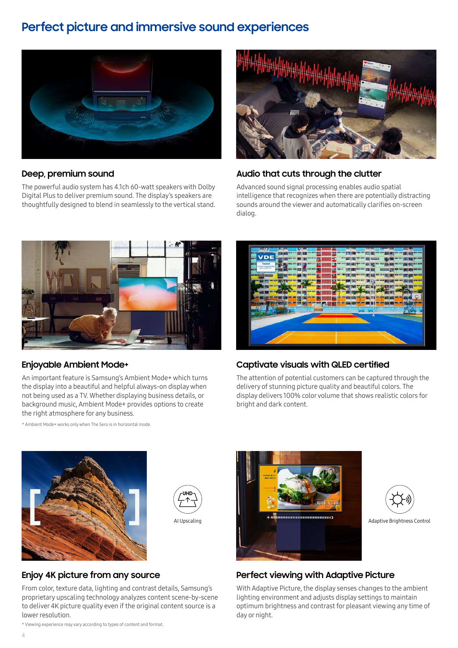### **Perfect picture and immersive sound experiences**



#### **Deep, premium sound**

The powerful audio system has 4.1ch 60-watt speakers with Dolby Digital Plus to deliver premium sound. The display's speakers are thoughtfully designed to blend in seamlessly to the vertical stand.



#### **Audio that cuts through the clutter**

Advanced sound signal processing enables audio spatial intelligence that recognizes when there are potentially distracting sounds around the viewer and automatically clarifies on-screen dialog.



#### **Enjoyable Ambient Mode+**

An important feature is Samsung's Ambient Mode+ which turns the display into a beautiful and helpful always-on display when not being used as a TV. Whether displaying business details, or background music, Ambient Mode+ provides options to create the right atmosphere for any business.

\* Ambient Mode+ works only when The Sero is in horizontal mode.



#### **Captivate visuals with QLED certified**

The attention of potential customers can be captured through the delivery of stunning picture quality and beautiful colors. The display delivers 100% color volume that shows realistic colors for bright and dark content.





#### **Enjoy 4K picture from any source**

From color, texture data, lighting and contrast details, Samsung's proprietary upscaling technology analyzes content scene-by-scene to deliver 4K picture quality even if the original content source is a lower resolution.





#### **Perfect viewing with Adaptive Picture**

With Adaptive Picture, the display senses changes to the ambient lighting environment and adjusts display settings to maintain optimum brightness and contrast for pleasant viewing any time of day or night.

\* Viewing experience may vary according to types of content and format.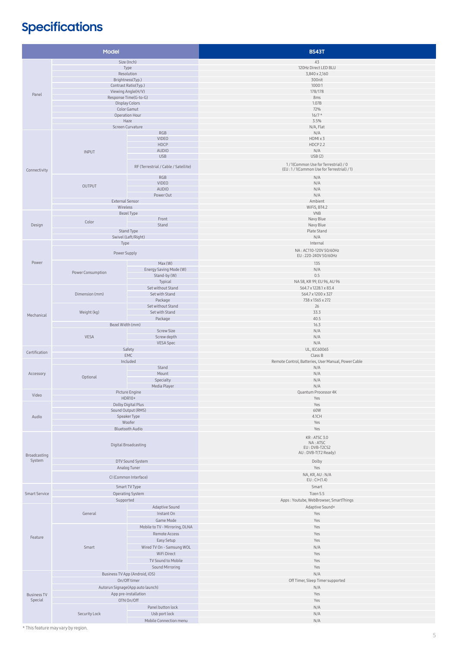# **Specifications**

| Model                  |                                                  |                                        | <b>BS43T</b>                                               |
|------------------------|--------------------------------------------------|----------------------------------------|------------------------------------------------------------|
| Size (Inch)            |                                                  |                                        | 43                                                         |
|                        | Type                                             |                                        | 120Hz Direct LED BLU                                       |
|                        | Resolution                                       |                                        | 3,840 x 2,160                                              |
|                        | Brightness(Typ.)<br>Contrast Ratio(Typ.)         |                                        | 300nit                                                     |
|                        | Viewing Angle(H/V)                               |                                        | 1000:1<br>178/178                                          |
| Panel                  | Response Time(G-to-G)                            |                                        | 8ms                                                        |
|                        | <b>Display Colors</b>                            |                                        | 1.07B                                                      |
|                        | Color Gamut<br>Operation Hour                    |                                        | 72%<br>$16/7*$                                             |
|                        | Haze                                             |                                        | 3.5%                                                       |
|                        |                                                  | Screen Curvature                       | N/A, Flat                                                  |
|                        |                                                  | RGB                                    | $\rm N/A$                                                  |
|                        | <b>INPUT</b>                                     | VIDEO<br>HDCP                          | HDMI x 3<br>HDCP <sub>2.2</sub>                            |
|                        |                                                  | <b>AUDIO</b>                           | N/A                                                        |
|                        |                                                  | <b>USB</b>                             | USB(2)                                                     |
|                        |                                                  | RF (Terrestrial / Cable / Satellite)   | 1/1(Common Use for Terrestrial) / 0                        |
| Connectivity           |                                                  |                                        | (EU:1/1(Common Use for Terrestrial)/1)                     |
|                        |                                                  | RGB<br>VIDEO                           | N/A<br>N/A                                                 |
|                        | OUTPUT                                           | <b>AUDIO</b>                           | N/A                                                        |
|                        |                                                  | Power Out                              | N/A                                                        |
|                        | <b>External Sensor</b><br>Wireless               |                                        | Ambient<br>WiFi5, BT4.2                                    |
|                        | Bezel Type                                       |                                        | VNB                                                        |
| Design                 | Color                                            | Front                                  | Navy Blue                                                  |
|                        |                                                  | Stand                                  | Navy Blue                                                  |
|                        |                                                  | Stand Type                             | Plate Stand<br>N/A                                         |
|                        | Swivel (Left/Right)<br>Type                      |                                        | Internal                                                   |
| Power                  |                                                  |                                        | NA: AC110-120V 50/60Hz                                     |
|                        | Power Supply                                     |                                        | EU: 220-240V 50/60Hz                                       |
|                        | Power Consumption                                | Max (W)                                | 135                                                        |
|                        |                                                  | Energy Saving Mode (W)<br>Stand-by (W) | N/A<br>0.5                                                 |
|                        |                                                  | Typical                                | NA 58, KR 99, EU 96, AU 96                                 |
| Mechanical             | Dimension (mm)                                   | Set without Stand                      | 564.7 x 1228.1 x 83.4                                      |
|                        |                                                  | Set with Stand                         | 564.7 x 1200 x 327                                         |
|                        |                                                  | Package<br>Set without Stand           | 738 x 1365 x 272<br>26                                     |
|                        | Weight (kg)                                      | Set with Stand                         | 33.3                                                       |
|                        |                                                  | Package                                | 40.5                                                       |
|                        | Bezel Width (mm)                                 |                                        | 16.3                                                       |
|                        | <b>Screw Size</b><br>VESA<br>Screw depth         |                                        | N/A<br>N/A                                                 |
|                        |                                                  | VESA Spec                              | N/A                                                        |
| Certification          | Safety                                           |                                        | UL, IEC60065                                               |
|                        |                                                  | EMC                                    | Class B                                                    |
|                        |                                                  | Included<br>Stand                      | Remote Control, Batteries, User Manual, Power Cable<br>N/A |
| Accessory              |                                                  | Mount                                  | N/A                                                        |
|                        | Optional                                         | Specialty                              | N/A                                                        |
|                        |                                                  | Media Player                           | N/A                                                        |
| Video                  | Picture Engine<br>HDR10+                         |                                        | Quantum Processor 4K<br>Yes                                |
| Audio                  | Dolby Digital Plus                               |                                        | Yes                                                        |
|                        | Sound Output (RMS)                               |                                        | 60W                                                        |
|                        | Speaker Type<br>Woofer                           |                                        | 4.1CH<br>Yes                                               |
|                        | <b>Bluetooth Audio</b>                           |                                        | Yes                                                        |
|                        |                                                  |                                        | KR: ATSC 3.0                                               |
| Broadcasting<br>System | Digital Broadcasting<br>DTV Sound System         |                                        | NA: ATSC                                                   |
|                        |                                                  |                                        | EU: DVB-T2CS2<br>AU: DVB-T(T2 Ready)                       |
|                        |                                                  |                                        | Dolby                                                      |
|                        | Analog Tuner                                     |                                        | Yes                                                        |
|                        | CI (Common Interface)                            |                                        | NA, KR, AU: N/A                                            |
|                        |                                                  |                                        | $EU: CI+(1.4)$                                             |
| <b>Smart Service</b>   | Smart TV Type<br>Operating System                |                                        | Smart<br>Tizen 5.5                                         |
|                        | Supported                                        |                                        | Apps: Youtube, WebBrowser, SmartThings                     |
|                        | General                                          | Adaptive Sound                         | Adaptive Sound+                                            |
|                        |                                                  | Instant On                             | Yes                                                        |
|                        |                                                  | Game Mode                              | Yes                                                        |
| Feature                | Smart                                            | Mobile to TV - Mirroring, DLNA         | Yes                                                        |
|                        |                                                  | Remote Access<br>Easy Setup            | Yes<br>Yes                                                 |
|                        |                                                  | Wired TV On - Samsung WOL              | N/A                                                        |
|                        |                                                  | WiFi Direct                            | Yes                                                        |
|                        |                                                  | TV Sound to Mobile                     | Yes                                                        |
|                        |                                                  | Sound Mirroring                        | Yes                                                        |
|                        | Business TV App (Android, iOS)                   |                                        | N/A                                                        |
|                        | On/Off timer<br>Autorun Signage(App auto launch) |                                        | Off Timer, Sleep Timer supported                           |
| <b>Business TV</b>     | App pre-installation                             |                                        | N/A<br>Yes                                                 |
| Special                |                                                  | OTN On/Off                             | Yes                                                        |
|                        | Security Lock                                    | Panel button lock                      | N/A                                                        |
|                        |                                                  | Usb port lock                          | N/A                                                        |
|                        |                                                  | Mobile Connection menu                 | N/A                                                        |

\* This feature may vary by region.